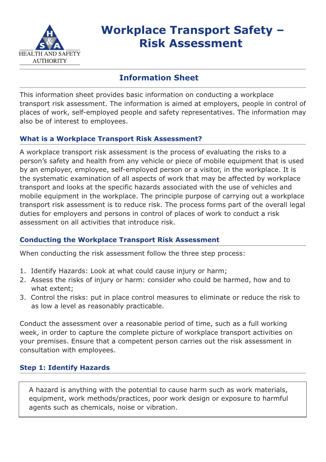

# **Workplace Transport Safety – Risk Assessment**

## **Information Sheet**

This information sheet provides basic information on conducting a workplace transport risk assessment. The information is aimed at employers, people in control of places of work, self-employed people and safety representatives. The information may also be of interest to employees.

#### **What is a Workplace Transport Risk Assessment?**

A workplace transport risk assessment is the process of evaluating the risks to a person's safety and health from any vehicle or piece of mobile equipment that is used by an employer, employee, self-employed person or a visitor, in the workplace. It is the systematic examination of all aspects of work that may be affected by workplace transport and looks at the specific hazards associated with the use of vehicles and mobile equipment in the workplace. The principle purpose of carrying out a workplace transport risk assessment is to reduce risk. The process forms part of the overall legal duties for employers and persons in control of places of work to conduct a risk assessment on all activities that introduce risk.

### **Conducting the Workplace Transport Risk Assessment**

When conducting the risk assessment follow the three step process:

- 1. Identify Hazards: Look at what could cause injury or harm;
- 2. Assess the risks of injury or harm: consider who could be harmed, how and to what extent;
- 3. Control the risks: put in place control measures to eliminate or reduce the risk to as low a level as reasonably practicable.

Conduct the assessment over a reasonable period of time, such as a full working week, in order to capture the complete picture of workplace transport activities on your premises. Ensure that a competent person carries out the risk assessment in consultation with employees.

### **Step 1: Identify Hazards**

A hazard is anything with the potential to cause harm such as work materials, equipment, work methods/practices, poor work design or exposure to harmful agents such as chemicals, noise or vibration.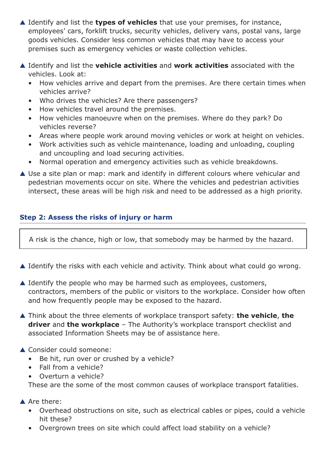- ▲ Identify and list the **types of vehicles** that use your premises, for instance, employees' cars, forklift trucks, security vehicles, delivery vans, postal vans, large goods vehicles. Consider less common vehicles that may have to access your premises such as emergency vehicles or waste collection vehicles.
- ▲ Identify and list the **vehicle activities** and **work activities** associated with the vehicles. Look at:
	- How vehicles arrive and depart from the premises. Are there certain times when vehicles arrive?
	- Who drives the vehicles? Are there passengers?
	- How vehicles travel around the premises.
	- How vehicles manoeuvre when on the premises. Where do they park? Do vehicles reverse?
	- Areas where people work around moving vehicles or work at height on vehicles.
	- Work activities such as vehicle maintenance, loading and unloading, coupling and uncoupling and load securing activities.
	- Normal operation and emergency activities such as vehicle breakdowns.
- ▲ Use a site plan or map: mark and identify in different colours where vehicular and pedestrian movements occur on site. Where the vehicles and pedestrian activities intersect, these areas will be high risk and need to be addressed as a high priority.

### **Step 2: Assess the risks of injury or harm**

A risk is the chance, high or low, that somebody may be harmed by the hazard.

- ▲ Identify the risks with each vehicle and activity. Think about what could go wrong.
- $\triangle$  Identify the people who may be harmed such as employees, customers, contractors, members of the public or visitors to the workplace. Consider how often and how frequently people may be exposed to the hazard.
- ▲ Think about the three elements of workplace transport safety: **the vehicle**, **the driver** and **the workplace** – The Authority's workplace transport checklist and associated Information Sheets may be of assistance here.
- ▲ Consider could someone:
	- Be hit, run over or crushed by a vehicle?
	- Fall from a vehicle?
	- Overturn a vehicle?

These are the some of the most common causes of workplace transport fatalities.

- ▲ Are there:
	- Overhead obstructions on site, such as electrical cables or pipes, could a vehicle hit these?
	- Overgrown trees on site which could affect load stability on a vehicle?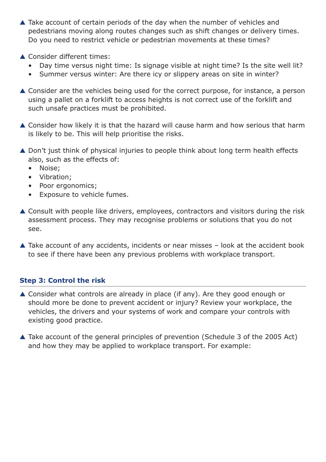- ▲ Take account of certain periods of the day when the number of vehicles and pedestrians moving along routes changes such as shift changes or delivery times. Do you need to restrict vehicle or pedestrian movements at these times?
- ▲ Consider different times:
	- Day time versus night time: Is signage visible at night time? Is the site well lit?
	- Summer versus winter: Are there icy or slippery areas on site in winter?
- ▲ Consider are the vehicles being used for the correct purpose, for instance, a person using a pallet on a forklift to access heights is not correct use of the forklift and such unsafe practices must be prohibited.
- ▲ Consider how likely it is that the hazard will cause harm and how serious that harm is likely to be. This will help prioritise the risks.
- ▲ Don't just think of physical injuries to people think about long term health effects also, such as the effects of:
	- Noise;
	- Vibration;
	- Poor ergonomics;
	- Exposure to vehicle fumes.
- ▲ Consult with people like drivers, employees, contractors and visitors during the risk assessment process. They may recognise problems or solutions that you do not see.
- $\triangle$  Take account of any accidents, incidents or near misses  $-$  look at the accident book to see if there have been any previous problems with workplace transport.

### **Step 3: Control the risk**

- ▲ Consider what controls are already in place (if any). Are they good enough or should more be done to prevent accident or injury? Review your workplace, the vehicles, the drivers and your systems of work and compare your controls with existing good practice.
- ▲ Take account of the general principles of prevention (Schedule 3 of the 2005 Act) and how they may be applied to workplace transport. For example: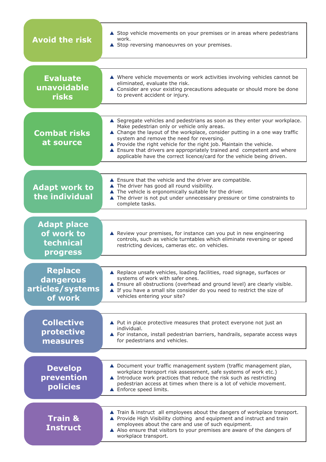| <b>Avoid the risk</b>                                            | ▲ Stop vehicle movements on your premises or in areas where pedestrians<br>work.<br>▲ Stop reversing manoeuvres on your premises.                                                                                                                                                                                                                                                                                                                                                  |
|------------------------------------------------------------------|------------------------------------------------------------------------------------------------------------------------------------------------------------------------------------------------------------------------------------------------------------------------------------------------------------------------------------------------------------------------------------------------------------------------------------------------------------------------------------|
| <b>Evaluate</b><br>unavoidable<br><b>risks</b>                   | ▲ Where vehicle movements or work activities involving vehicles cannot be<br>eliminated, evaluate the risk.<br>▲ Consider are your existing precautions adequate or should more be done<br>to prevent accident or injury.                                                                                                                                                                                                                                                          |
| <b>Combat risks</b><br>at source                                 | ▲ Segregate vehicles and pedestrians as soon as they enter your workplace.<br>Make pedestrian only or vehicle only areas.<br>▲ Change the layout of the workplace, consider putting in a one way traffic<br>system and remove the need for reversing.<br>▲ Provide the right vehicle for the right job. Maintain the vehicle.<br>▲ Ensure that drivers are appropriately trained and competent and where<br>applicable have the correct licence/card for the vehicle being driven. |
| <b>Adapt work to</b><br>the individual                           | ▲ Ensure that the vehicle and the driver are compatible.<br>▲ The driver has good all round visibility.<br>▲ The vehicle is ergonomically suitable for the driver.<br>▲ The driver is not put under unnecessary pressure or time constraints to<br>complete tasks.                                                                                                                                                                                                                 |
| <b>Adapt place</b><br>of work to<br>technical<br><b>progress</b> | ▲ Review your premises, for instance can you put in new engineering<br>controls, such as vehicle turntables which eliminate reversing or speed<br>restricting devices, cameras etc. on vehicles.                                                                                                                                                                                                                                                                                   |
| <b>Replace</b><br>dangerous<br>articles/systems<br>of work       | ▲ Replace unsafe vehicles, loading facilities, road signage, surfaces or<br>systems of work with safer ones.<br>▲ Ensure all obstructions (overhead and ground level) are clearly visible.<br>▲ If you have a small site consider do you need to restrict the size of<br>vehicles entering your site?                                                                                                                                                                              |
| <b>Collective</b><br>protective<br>measures                      | ▲ Put in place protective measures that protect everyone not just an<br>individual.<br>▲ For instance, install pedestrian barriers, handrails, separate access ways<br>for pedestrians and vehicles.                                                                                                                                                                                                                                                                               |
| <b>Develop</b><br>prevention<br><b>policies</b>                  | ▲ Document your traffic management system (traffic management plan,<br>workplace transport risk assessment, safe systems of work etc.)<br>▲ Introduce work practices that reduce the risk such as restricting<br>pedestrian access at times when there is a lot of vehicle movement.<br>▲ Enforce speed limits.                                                                                                                                                                    |
| <b>Train &amp;</b><br><b>Instruct</b>                            | ▲ Train & instruct all employees about the dangers of workplace transport.<br>▲ Provide High Visibility clothing and equipment and instruct and train<br>employees about the care and use of such equipment.<br>A Also ensure that visitors to your premises are aware of the dangers of<br>workplace transport.                                                                                                                                                                   |